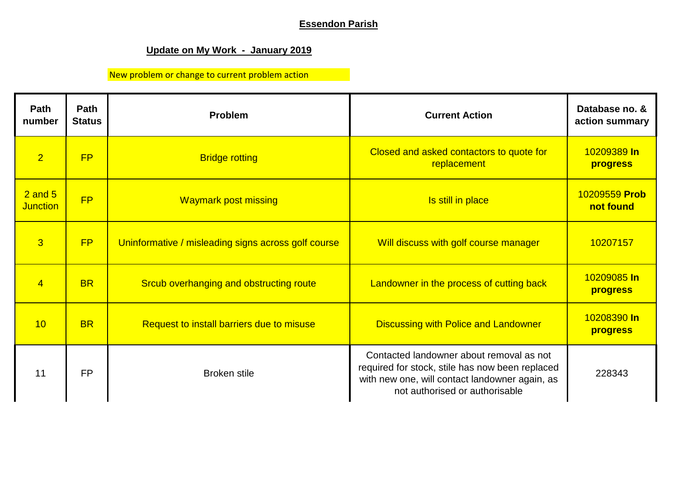## **Essendon Parish**

# **Update on My Work - January 2019**

# New problem or change to current problem action

| Path<br>number                 | Path<br><b>Status</b> | Problem                                             | <b>Current Action</b>                                                                                                                                                           | Database no. &<br>action summary |
|--------------------------------|-----------------------|-----------------------------------------------------|---------------------------------------------------------------------------------------------------------------------------------------------------------------------------------|----------------------------------|
| $\overline{2}$                 | FP                    | <b>Bridge rotting</b>                               | Closed and asked contactors to quote for<br>replacement                                                                                                                         | 10209389 In<br>progress          |
| $2$ and $5$<br><b>Junction</b> | FP                    | <b>Waymark post missing</b>                         | Is still in place                                                                                                                                                               | 10209559 Prob<br>not found       |
| $\overline{3}$                 | FP                    | Uninformative / misleading signs across golf course | Will discuss with golf course manager                                                                                                                                           | 10207157                         |
| $\overline{4}$                 | <b>BR</b>             | Srcub overhanging and obstructing route             | Landowner in the process of cutting back                                                                                                                                        | 10209085 In<br>progress          |
| 10                             | <b>BR</b>             | Request to install barriers due to misuse           | <b>Discussing with Police and Landowner</b>                                                                                                                                     | 10208390 In<br><b>progress</b>   |
| 11                             | <b>FP</b>             | <b>Broken stile</b>                                 | Contacted landowner about removal as not<br>required for stock, stile has now been replaced<br>with new one, will contact landowner again, as<br>not authorised or authorisable | 228343                           |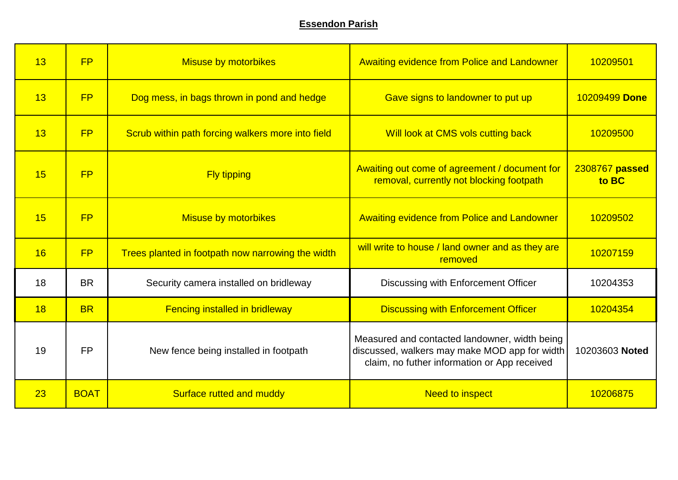### **Essendon Parish**

| 13 | FP          | <b>Misuse by motorbikes</b>                       | <b>Awaiting evidence from Police and Landowner</b>                                                                                             | 10209501                |
|----|-------------|---------------------------------------------------|------------------------------------------------------------------------------------------------------------------------------------------------|-------------------------|
| 13 | FP          | Dog mess, in bags thrown in pond and hedge        | Gave signs to landowner to put up                                                                                                              | 10209499 Done           |
| 13 | FP          | Scrub within path forcing walkers more into field | Will look at CMS vols cutting back                                                                                                             | 10209500                |
| 15 | FP          | <b>Fly tipping</b>                                | Awaiting out come of agreement / document for<br>removal, currently not blocking footpath                                                      | 2308767 passed<br>to BC |
| 15 | FP          | <b>Misuse by motorbikes</b>                       | <b>Awaiting evidence from Police and Landowner</b>                                                                                             | 10209502                |
| 16 | <b>FP</b>   | Trees planted in footpath now narrowing the width | will write to house / land owner and as they are<br>removed                                                                                    | 10207159                |
| 18 | <b>BR</b>   | Security camera installed on bridleway            | Discussing with Enforcement Officer                                                                                                            | 10204353                |
| 18 | <b>BR</b>   | <b>Fencing installed in bridleway</b>             | <b>Discussing with Enforcement Officer</b>                                                                                                     | 10204354                |
| 19 | <b>FP</b>   | New fence being installed in footpath             | Measured and contacted landowner, width being<br>discussed, walkers may make MOD app for width<br>claim, no futher information or App received | 10203603 Noted          |
| 23 | <b>BOAT</b> | Surface rutted and muddy                          | <b>Need to inspect</b>                                                                                                                         | 10206875                |